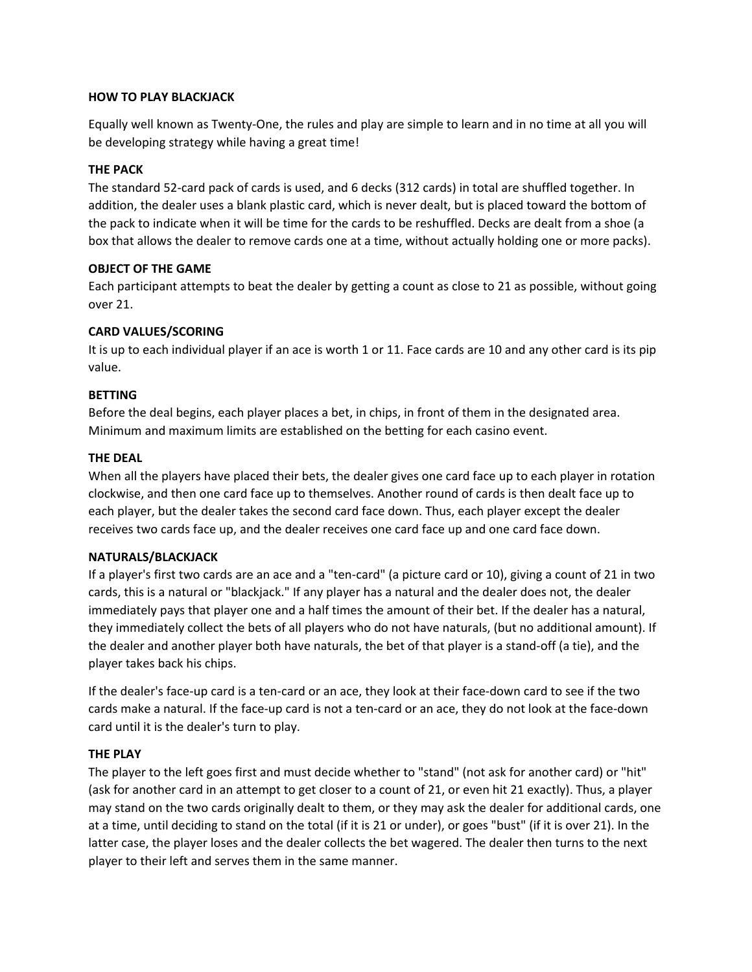## **HOW TO PLAY BLACKJACK**

Equally well known as Twenty-One, the rules and play are simple to learn and in no time at all you will be developing strategy while having a great time!

# **THE PACK**

The standard 52-card pack of cards is used, and 6 decks (312 cards) in total are shuffled together. In addition, the dealer uses a blank plastic card, which is never dealt, but is placed toward the bottom of the pack to indicate when it will be time for the cards to be reshuffled. Decks are dealt from a shoe (a box that allows the dealer to remove cards one at a time, without actually holding one or more packs).

### **OBJECT OF THE GAME**

Each participant attempts to beat the dealer by getting a count as close to 21 as possible, without going over 21.

## **CARD VALUES/SCORING**

It is up to each individual player if an ace is worth 1 or 11. Face cards are 10 and any other card is its pip value.

### **BETTING**

Before the deal begins, each player places a bet, in chips, in front of them in the designated area. Minimum and maximum limits are established on the betting for each casino event.

### **THE DEAL**

When all the players have placed their bets, the dealer gives one card face up to each player in rotation clockwise, and then one card face up to themselves. Another round of cards is then dealt face up to each player, but the dealer takes the second card face down. Thus, each player except the dealer receives two cards face up, and the dealer receives one card face up and one card face down.

## **NATURALS/BLACKJACK**

If a player's first two cards are an ace and a "ten-card" (a picture card or 10), giving a count of 21 in two cards, this is a natural or "blackjack." If any player has a natural and the dealer does not, the dealer immediately pays that player one and a half times the amount of their bet. If the dealer has a natural, they immediately collect the bets of all players who do not have naturals, (but no additional amount). If the dealer and another player both have naturals, the bet of that player is a stand-off (a tie), and the player takes back his chips.

If the dealer's face-up card is a ten-card or an ace, they look at their face-down card to see if the two cards make a natural. If the face-up card is not a ten-card or an ace, they do not look at the face-down card until it is the dealer's turn to play.

## **THE PLAY**

The player to the left goes first and must decide whether to "stand" (not ask for another card) or "hit" (ask for another card in an attempt to get closer to a count of 21, or even hit 21 exactly). Thus, a player may stand on the two cards originally dealt to them, or they may ask the dealer for additional cards, one at a time, until deciding to stand on the total (if it is 21 or under), or goes "bust" (if it is over 21). In the latter case, the player loses and the dealer collects the bet wagered. The dealer then turns to the next player to their left and serves them in the same manner.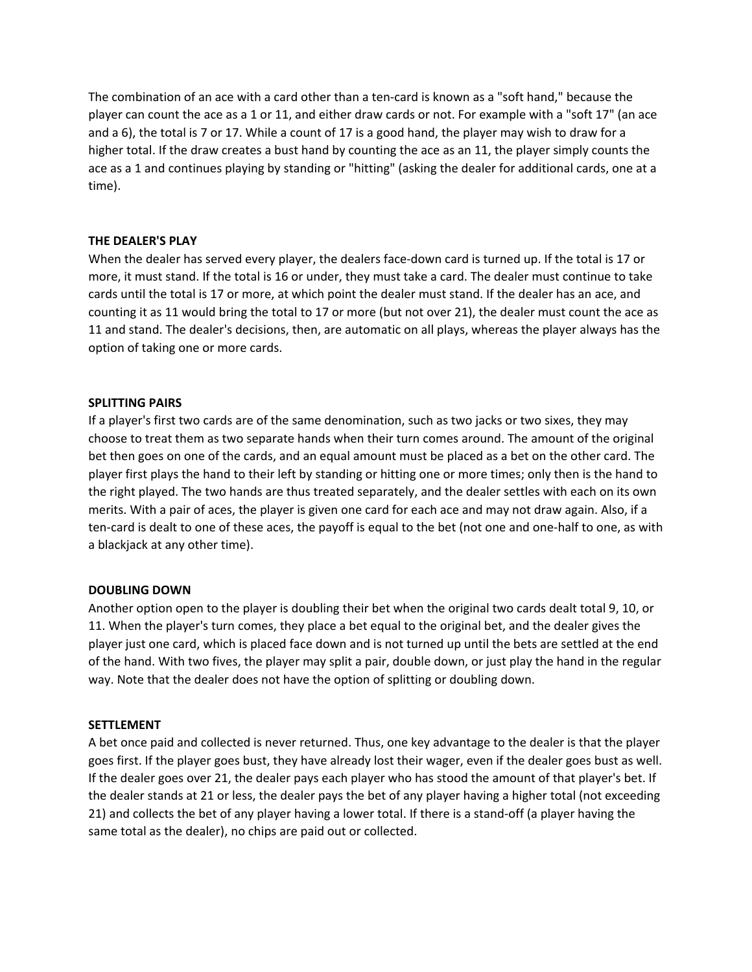The combination of an ace with a card other than a ten-card is known as a "soft hand," because the player can count the ace as a 1 or 11, and either draw cards or not. For example with a "soft 17" (an ace and a 6), the total is 7 or 17. While a count of 17 is a good hand, the player may wish to draw for a higher total. If the draw creates a bust hand by counting the ace as an 11, the player simply counts the ace as a 1 and continues playing by standing or "hitting" (asking the dealer for additional cards, one at a time).

### **THE DEALER'S PLAY**

When the dealer has served every player, the dealers face-down card is turned up. If the total is 17 or more, it must stand. If the total is 16 or under, they must take a card. The dealer must continue to take cards until the total is 17 or more, at which point the dealer must stand. If the dealer has an ace, and counting it as 11 would bring the total to 17 or more (but not over 21), the dealer must count the ace as 11 and stand. The dealer's decisions, then, are automatic on all plays, whereas the player always has the option of taking one or more cards.

### **SPLITTING PAIRS**

If a player's first two cards are of the same denomination, such as two jacks or two sixes, they may choose to treat them as two separate hands when their turn comes around. The amount of the original bet then goes on one of the cards, and an equal amount must be placed as a bet on the other card. The player first plays the hand to their left by standing or hitting one or more times; only then is the hand to the right played. The two hands are thus treated separately, and the dealer settles with each on its own merits. With a pair of aces, the player is given one card for each ace and may not draw again. Also, if a ten-card is dealt to one of these aces, the payoff is equal to the bet (not one and one-half to one, as with a blackjack at any other time).

## **DOUBLING DOWN**

Another option open to the player is doubling their bet when the original two cards dealt total 9, 10, or 11. When the player's turn comes, they place a bet equal to the original bet, and the dealer gives the player just one card, which is placed face down and is not turned up until the bets are settled at the end of the hand. With two fives, the player may split a pair, double down, or just play the hand in the regular way. Note that the dealer does not have the option of splitting or doubling down.

#### **SETTLEMENT**

A bet once paid and collected is never returned. Thus, one key advantage to the dealer is that the player goes first. If the player goes bust, they have already lost their wager, even if the dealer goes bust as well. If the dealer goes over 21, the dealer pays each player who has stood the amount of that player's bet. If the dealer stands at 21 or less, the dealer pays the bet of any player having a higher total (not exceeding 21) and collects the bet of any player having a lower total. If there is a stand-off (a player having the same total as the dealer), no chips are paid out or collected.